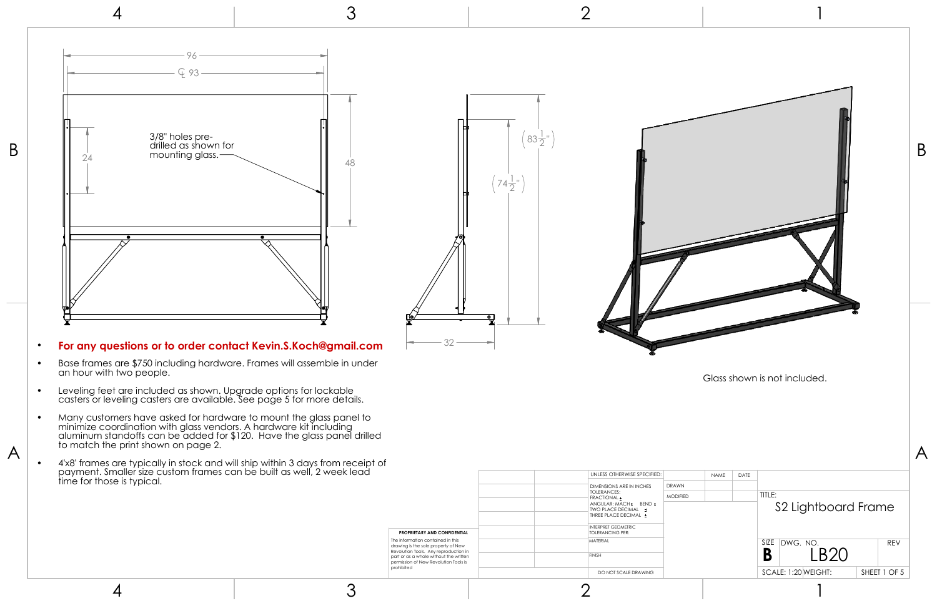4 3 2 1





- Base frames are \$750 including hardware. Frames will assemble in under an hour with two people.
- Leveling feet are included as shown. Upgrade options for lockable casters or leveling casters are available. See page 5 for more details.
- Many customers have asked for hardware to mount the glass panel to minimize coordination with glass vendors. A hardware kit including aluminum standoffs can be added for \$120. Have the glass panel drilled to match the print shown on page 2.
- 4'x8' frames are typically in stock and will ship within 3 days from receipt of payment. Smaller size custom frames can be built as well, 2 week lead time for those is typical.

## • **For any questions or to order contact Kevin.S.Koch@gmail.com**



4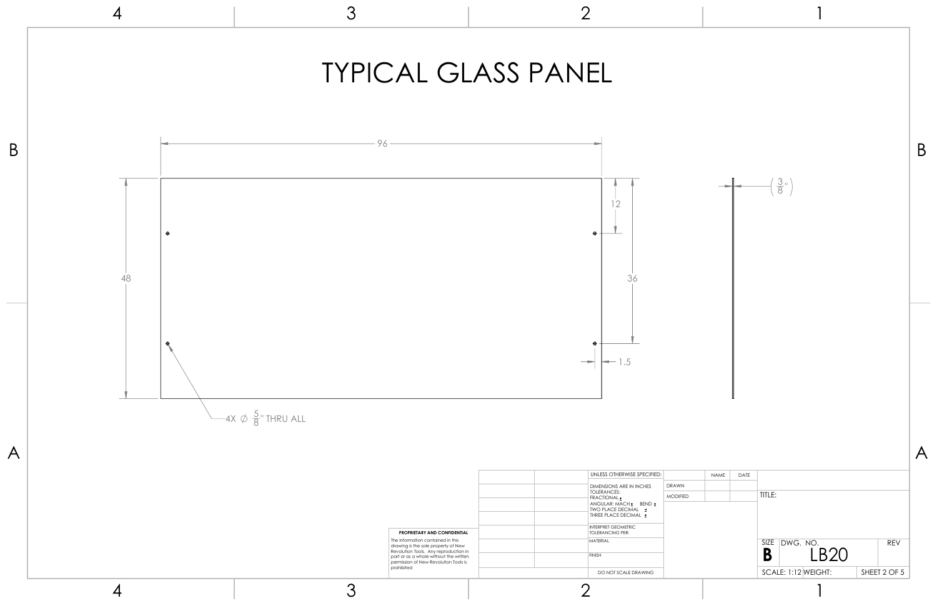

|              |            |           | $\left(\frac{3}{8}$ "                                                          | B |
|--------------|------------|-----------|--------------------------------------------------------------------------------|---|
|              | $\sf NAME$ | ц<br>DATE |                                                                                |   |
| $\mathbf{C}$ |            |           | TITLE:                                                                         |   |
|              |            |           | SIZE DWG. NO.<br>$B$ LB20<br><b>REV</b><br>SCALE: 1:12 WEIGHT:<br>SHEET 2 OF 5 |   |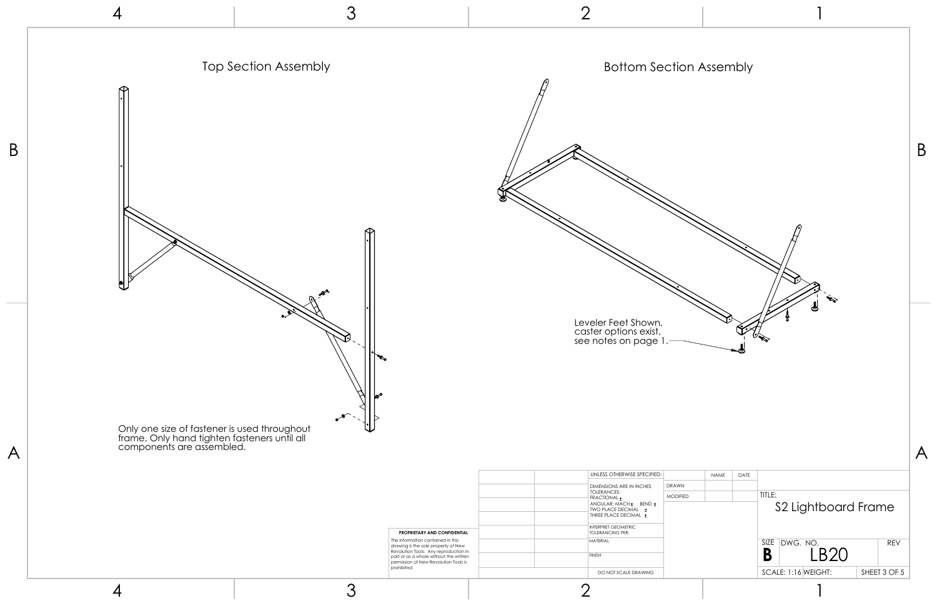A

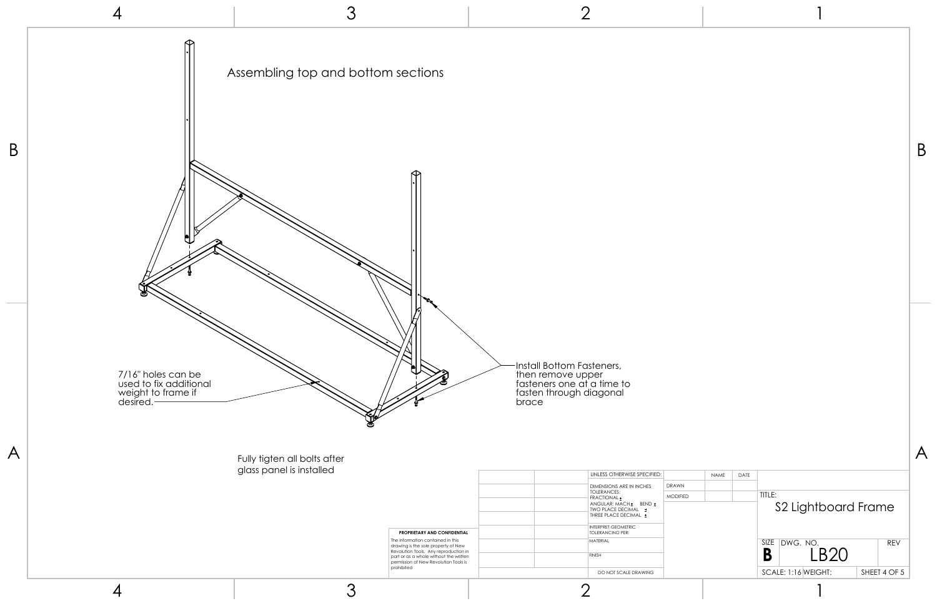| <b>NAME</b> | DATE |           |          |                     |  |              |  |
|-------------|------|-----------|----------|---------------------|--|--------------|--|
|             |      | TITLE:    |          | S2 Lightboard Frame |  |              |  |
|             |      | SIZE<br>B | DWG. NO. | <b>LB20</b>         |  | <b>REV</b>   |  |
|             |      |           |          | SCALE: 1:16 WEIGHT: |  | SHEET 4 OF 5 |  |
|             |      |           |          | 7                   |  |              |  |